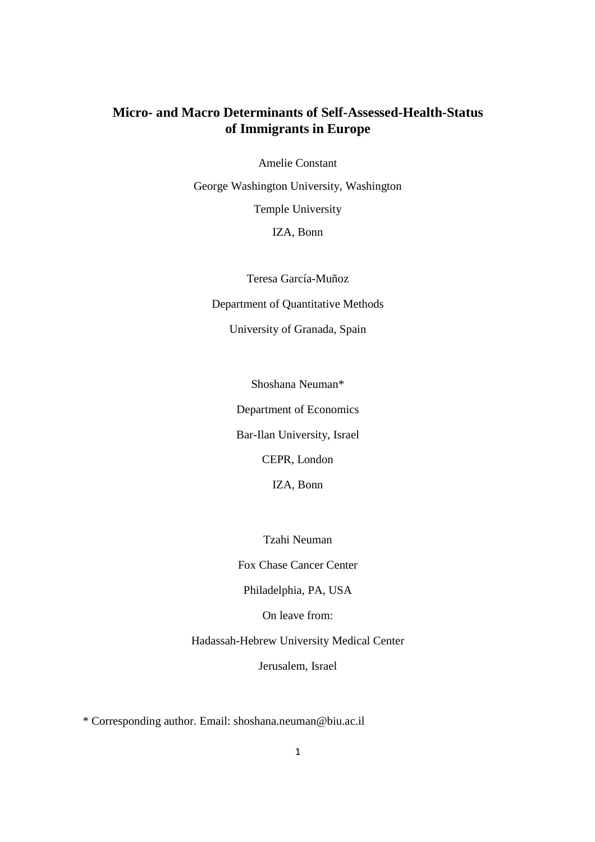### **Micro- and Macro Determinants of Self-Assessed-Health-Status of Immigrants in Europe**

Amelie Constant

George Washington University, Washington Temple University IZA, Bonn

Teresa García-Muñoz Department of Quantitative Methods University of Granada, Spain

Shoshana Neuman\*

Department of Economics

Bar-Ilan University, Israel

CEPR, London

IZA, Bonn

Tzahi Neuman

Fox Chase Cancer Center

Philadelphia, PA, USA

On leave from:

Hadassah-Hebrew University Medical Center

Jerusalem, Israel

\* Corresponding author. Email: shoshana.neuman@biu.ac.il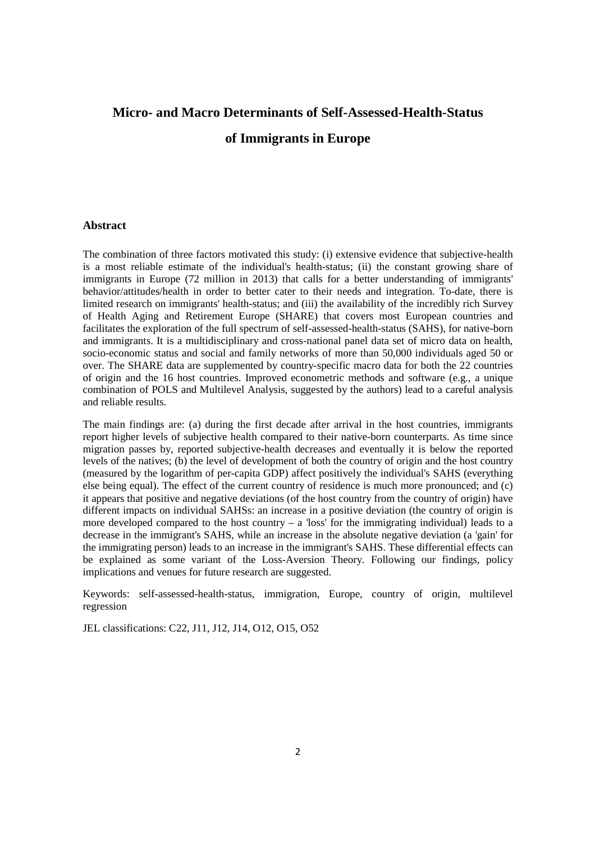# **Micro- and Macro Determinants of Self-Assessed-Health-Status of Immigrants in Europe**

#### **Abstract**

The combination of three factors motivated this study: (i) extensive evidence that subjective-health is a most reliable estimate of the individual's health-status; (ii) the constant growing share of immigrants in Europe (72 million in 2013) that calls for a better understanding of immigrants' behavior/attitudes/health in order to better cater to their needs and integration. To-date, there is limited research on immigrants' health-status; and (iii) the availability of the incredibly rich Survey of Health Aging and Retirement Europe (SHARE) that covers most European countries and facilitates the exploration of the full spectrum of self-assessed-health-status (SAHS), for native-born and immigrants. It is a multidisciplinary and cross-national panel data set of micro data on health, socio-economic status and social and family networks of more than 50,000 individuals aged 50 or over. The SHARE data are supplemented by country-specific macro data for both the 22 countries of origin and the 16 host countries. Improved econometric methods and software (e.g., a unique combination of POLS and Multilevel Analysis, suggested by the authors) lead to a careful analysis and reliable results.

The main findings are: (a) during the first decade after arrival in the host countries, immigrants report higher levels of subjective health compared to their native-born counterparts. As time since migration passes by, reported subjective-health decreases and eventually it is below the reported levels of the natives; (b) the level of development of both the country of origin and the host country (measured by the logarithm of per-capita GDP) affect positively the individual's SAHS (everything else being equal). The effect of the current country of residence is much more pronounced; and (c) it appears that positive and negative deviations (of the host country from the country of origin) have different impacts on individual SAHSs: an increase in a positive deviation (the country of origin is more developed compared to the host country – a 'loss' for the immigrating individual) leads to a decrease in the immigrant's SAHS, while an increase in the absolute negative deviation (a 'gain' for the immigrating person) leads to an increase in the immigrant's SAHS. These differential effects can be explained as some variant of the Loss-Aversion Theory. Following our findings, policy implications and venues for future research are suggested.

Keywords: self-assessed-health-status, immigration, Europe, country of origin, multilevel regression

JEL classifications: C22, J11, J12, J14, O12, O15, O52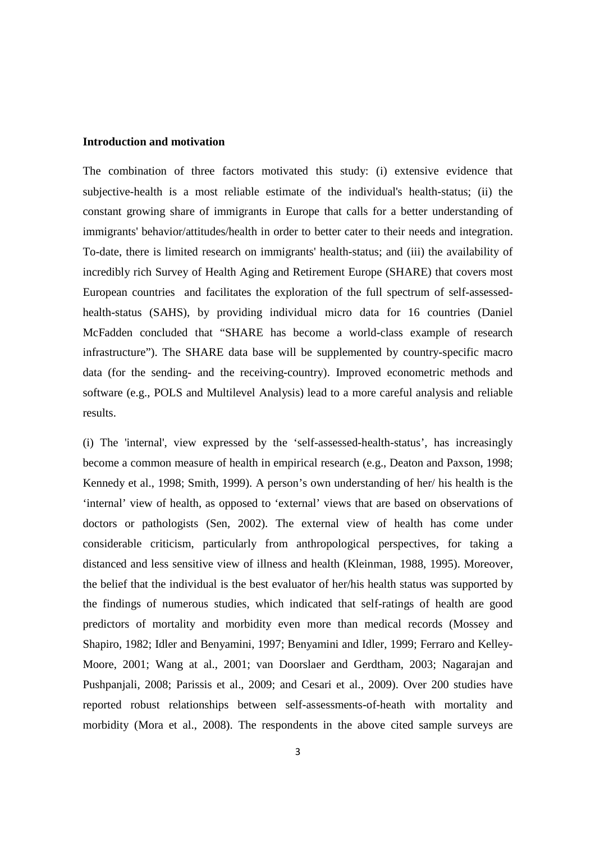#### **Introduction and motivation**

The combination of three factors motivated this study: (i) extensive evidence that subjective-health is a most reliable estimate of the individual's health-status; (ii) the constant growing share of immigrants in Europe that calls for a better understanding of immigrants' behavior/attitudes/health in order to better cater to their needs and integration. To-date, there is limited research on immigrants' health-status; and (iii) the availability of incredibly rich Survey of Health Aging and Retirement Europe (SHARE) that covers most European countries and facilitates the exploration of the full spectrum of self-assessedhealth-status (SAHS), by providing individual micro data for 16 countries (Daniel McFadden concluded that "SHARE has become a world-class example of research infrastructure"). The SHARE data base will be supplemented by country-specific macro data (for the sending- and the receiving-country). Improved econometric methods and software (e.g., POLS and Multilevel Analysis) lead to a more careful analysis and reliable results.

(i) The 'internal', view expressed by the 'self-assessed-health-status', has increasingly become a common measure of health in empirical research (e.g., Deaton and Paxson, 1998; Kennedy et al., 1998; Smith, 1999). A person's own understanding of her/ his health is the 'internal' view of health, as opposed to 'external' views that are based on observations of doctors or pathologists (Sen, 2002). The external view of health has come under considerable criticism, particularly from anthropological perspectives, for taking a distanced and less sensitive view of illness and health (Kleinman, 1988, 1995). Moreover, the belief that the individual is the best evaluator of her/his health status was supported by the findings of numerous studies, which indicated that self-ratings of health are good predictors of mortality and morbidity even more than medical records (Mossey and Shapiro, 1982; Idler and Benyamini, 1997; Benyamini and Idler, 1999; Ferraro and Kelley-Moore, 2001; Wang at al., 2001; van Doorslaer and Gerdtham, 2003; Nagarajan and Pushpanjali, 2008; Parissis et al., 2009; and Cesari et al., 2009). Over 200 studies have reported robust relationships between self-assessments-of-heath with mortality and morbidity (Mora et al., 2008). The respondents in the above cited sample surveys are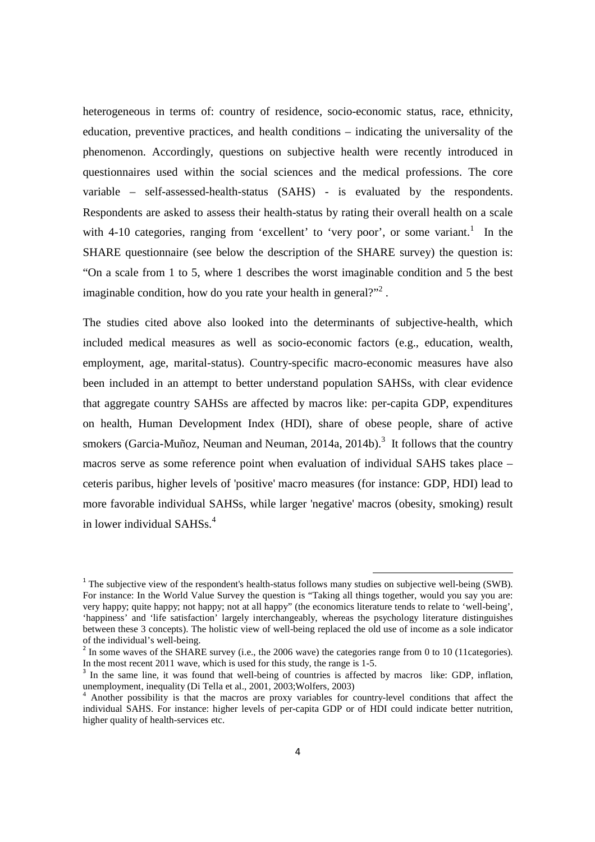heterogeneous in terms of: country of residence, socio-economic status, race, ethnicity, education, preventive practices, and health conditions – indicating the universality of the phenomenon. Accordingly, questions on subjective health were recently introduced in questionnaires used within the social sciences and the medical professions. The core variable – self-assessed-health-status (SAHS) - is evaluated by the respondents. Respondents are asked to assess their health-status by rating their overall health on a scale with 4-10 categories, ranging from 'excellent' to 'very poor', or some variant.<sup>1</sup> In the SHARE questionnaire (see below the description of the SHARE survey) the question is: "On a scale from 1 to 5, where 1 describes the worst imaginable condition and 5 the best imaginable condition, how do you rate your health in general?"<sup>2</sup>.

The studies cited above also looked into the determinants of subjective-health, which included medical measures as well as socio-economic factors (e.g., education, wealth, employment, age, marital-status). Country-specific macro-economic measures have also been included in an attempt to better understand population SAHSs, with clear evidence that aggregate country SAHSs are affected by macros like: per-capita GDP, expenditures on health, Human Development Index (HDI), share of obese people, share of active smokers (Garcia-Muñoz, Neuman and Neuman, 2014a, 2014b).<sup>3</sup> It follows that the country macros serve as some reference point when evaluation of individual SAHS takes place – ceteris paribus, higher levels of 'positive' macro measures (for instance: GDP, HDI) lead to more favorable individual SAHSs, while larger 'negative' macros (obesity, smoking) result in lower individual SAHSs. $4$ 

 $\overline{a}$ 

<sup>&</sup>lt;sup>1</sup> The subjective view of the respondent's health-status follows many studies on subjective well-being (SWB). For instance: In the World Value Survey the question is "Taking all things together, would you say you are: very happy; quite happy; not happy; not at all happy" (the economics literature tends to relate to 'well-being', 'happiness' and 'life satisfaction' largely interchangeably, whereas the psychology literature distinguishes between these 3 concepts). The holistic view of well-being replaced the old use of income as a sole indicator of the individual's well-being.

 $2 \text{ In some waves of the SHARE survey (i.e., the 2006 wave) the categories range from 0 to 10 (11 categories).}$ In the most recent 2011 wave, which is used for this study, the range is 1-5.

<sup>3</sup> In the same line, it was found that well-being of countries is affected by macros like: GDP, inflation, unemployment, inequality (Di Tella et al., 2001, 2003;Wolfers, 2003)

<sup>4</sup> Another possibility is that the macros are proxy variables for country-level conditions that affect the individual SAHS. For instance: higher levels of per-capita GDP or of HDI could indicate better nutrition, higher quality of health-services etc.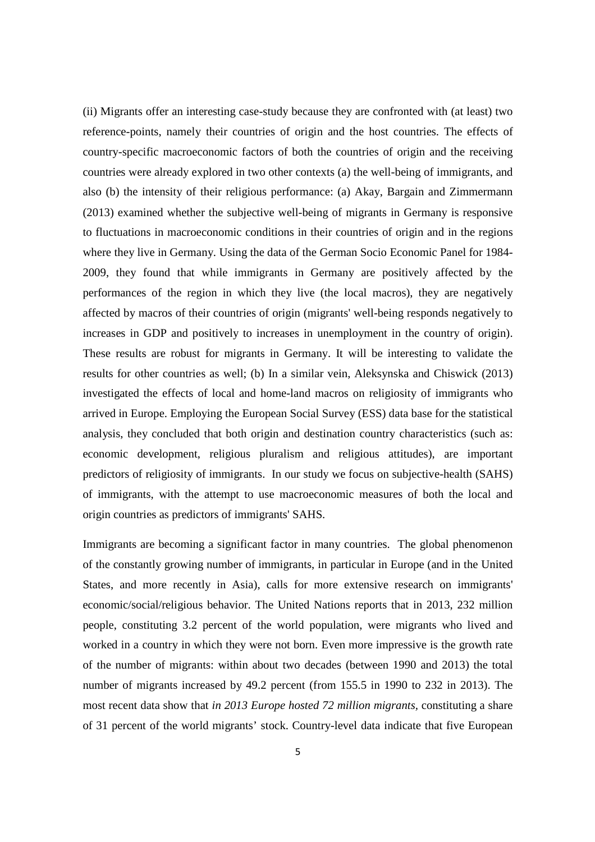(ii) Migrants offer an interesting case-study because they are confronted with (at least) two reference-points, namely their countries of origin and the host countries. The effects of country-specific macroeconomic factors of both the countries of origin and the receiving countries were already explored in two other contexts (a) the well-being of immigrants, and also (b) the intensity of their religious performance: (a) Akay, Bargain and Zimmermann (2013) examined whether the subjective well-being of migrants in Germany is responsive to fluctuations in macroeconomic conditions in their countries of origin and in the regions where they live in Germany. Using the data of the German Socio Economic Panel for 1984- 2009, they found that while immigrants in Germany are positively affected by the performances of the region in which they live (the local macros), they are negatively affected by macros of their countries of origin (migrants' well-being responds negatively to increases in GDP and positively to increases in unemployment in the country of origin). These results are robust for migrants in Germany. It will be interesting to validate the results for other countries as well; (b) In a similar vein, Aleksynska and Chiswick (2013) investigated the effects of local and home-land macros on religiosity of immigrants who arrived in Europe. Employing the European Social Survey (ESS) data base for the statistical analysis, they concluded that both origin and destination country characteristics (such as: economic development, religious pluralism and religious attitudes), are important predictors of religiosity of immigrants. In our study we focus on subjective-health (SAHS) of immigrants, with the attempt to use macroeconomic measures of both the local and origin countries as predictors of immigrants' SAHS.

Immigrants are becoming a significant factor in many countries. The global phenomenon of the constantly growing number of immigrants, in particular in Europe (and in the United States, and more recently in Asia), calls for more extensive research on immigrants' economic/social/religious behavior. The United Nations reports that in 2013, 232 million people, constituting 3.2 percent of the world population, were migrants who lived and worked in a country in which they were not born. Even more impressive is the growth rate of the number of migrants: within about two decades (between 1990 and 2013) the total number of migrants increased by 49.2 percent (from 155.5 in 1990 to 232 in 2013). The most recent data show that *in 2013 Europe hosted 72 million migrants,* constituting a share of 31 percent of the world migrants' stock. Country-level data indicate that five European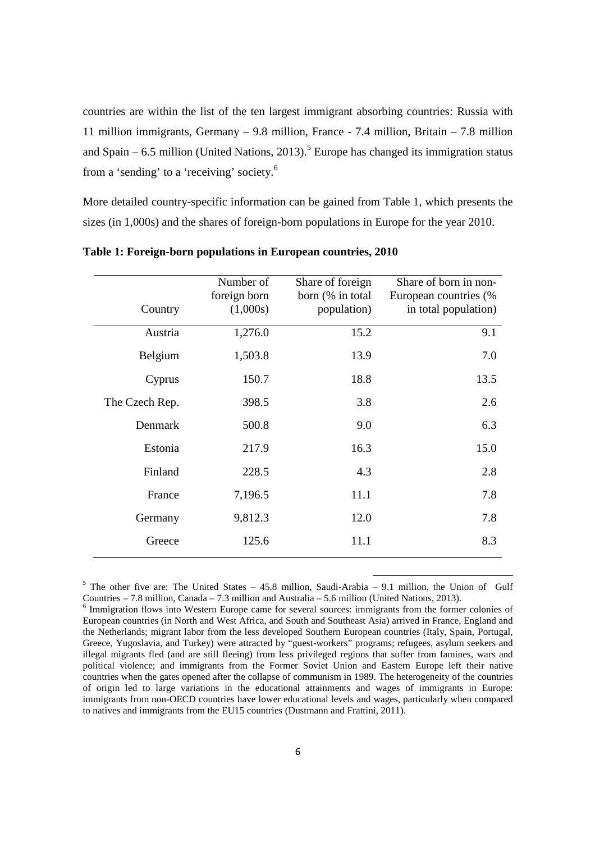countries are within the list of the ten largest immigrant absorbing countries: Russia with 11 million immigrants, Germany – 9.8 million, France - 7.4 million, Britain – 7.8 million and Spain  $-6.5$  million (United Nations, 2013).<sup>5</sup> Europe has changed its immigration status from a 'sending' to a 'receiving' society.<sup>6</sup>

More detailed country-specific information can be gained from Table 1, which presents the sizes (in 1,000s) and the shares of foreign-born populations in Europe for the year 2010.

| Country        | Number of<br>foreign born<br>(1,000s) | Share of foreign<br>born (% in total)<br>population) | Share of born in non-<br>European countries (%<br>in total population) |
|----------------|---------------------------------------|------------------------------------------------------|------------------------------------------------------------------------|
| Austria        | 1,276.0                               | 15.2                                                 | 9.1                                                                    |
| Belgium        | 1,503.8                               | 13.9                                                 | 7.0                                                                    |
| Cyprus         | 150.7                                 | 18.8                                                 | 13.5                                                                   |
| The Czech Rep. | 398.5                                 | 3.8                                                  | 2.6                                                                    |
| Denmark        | 500.8                                 | 9.0                                                  | 6.3                                                                    |
| Estonia        | 217.9                                 | 16.3                                                 | 15.0                                                                   |
| Finland        | 228.5                                 | 4.3                                                  | 2.8                                                                    |
| France         | 7,196.5                               | 11.1                                                 | 7.8                                                                    |
| Germany        | 9,812.3                               | 12.0                                                 | 7.8                                                                    |
| Greece         | 125.6                                 | 11.1                                                 | 8.3                                                                    |

**Table 1: Foreign-born populations in European countries, 2010** 

<sup>5</sup> The other five are: The United States – 45.8 million, Saudi-Arabia – 9.1 million, the Union of Gulf Countries  $-7.8$  million, Canada – 7.3 million and Australia – 5.6 million (United Nations, 2013).

l

<sup>&</sup>lt;sup>6</sup> Immigration flows into Western Europe came for several sources: immigrants from the former colonies of European countries (in North and West Africa, and South and Southeast Asia) arrived in France, England and the Netherlands; migrant labor from the less developed Southern European countries (Italy, Spain, Portugal, Greece, Yugoslavia, and Turkey) were attracted by "guest-workers" programs; refugees, asylum seekers and illegal migrants fled (and are still fleeing) from less privileged regions that suffer from famines, wars and political violence; and immigrants from the Former Soviet Union and Eastern Europe left their native countries when the gates opened after the collapse of communism in 1989. The heterogeneity of the countries of origin led to large variations in the educational attainments and wages of immigrants in Europe: immigrants from non-OECD countries have lower educational levels and wages, particularly when compared to natives and immigrants from the EU15 countries (Dustmann and Frattini, 2011).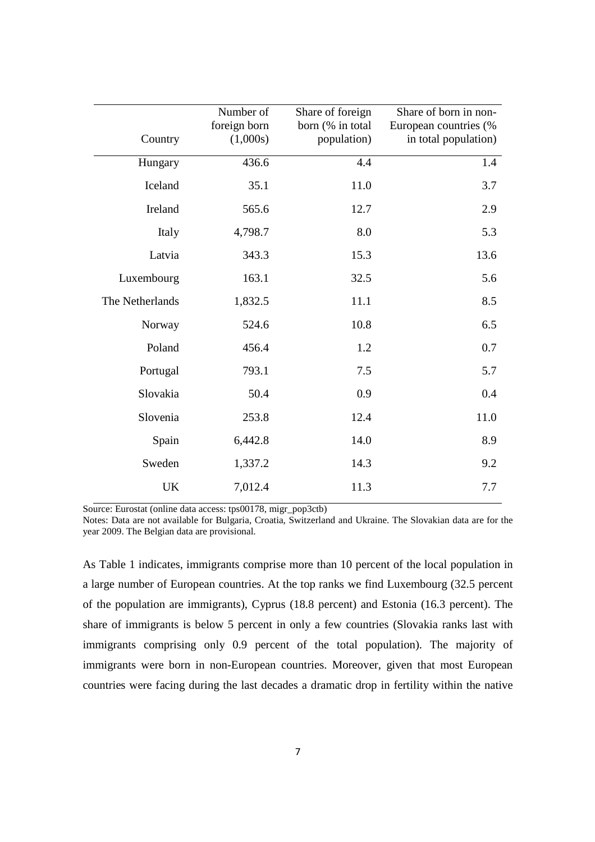| Country         | Number of<br>foreign born<br>(1,000s) | Share of foreign<br>born (% in total<br>population) | Share of born in non-<br>European countries (%<br>in total population) |
|-----------------|---------------------------------------|-----------------------------------------------------|------------------------------------------------------------------------|
| Hungary         | 436.6                                 | 4.4                                                 | 1.4                                                                    |
| Iceland         | 35.1                                  | 11.0                                                | 3.7                                                                    |
| Ireland         | 565.6                                 | 12.7                                                | 2.9                                                                    |
| Italy           | 4,798.7                               | 8.0                                                 | 5.3                                                                    |
| Latvia          | 343.3                                 | 15.3                                                | 13.6                                                                   |
| Luxembourg      | 163.1                                 | 32.5                                                | 5.6                                                                    |
| The Netherlands | 1,832.5                               | 11.1                                                | 8.5                                                                    |
| Norway          | 524.6                                 | 10.8                                                | 6.5                                                                    |
| Poland          | 456.4                                 | 1.2                                                 | 0.7                                                                    |
| Portugal        | 793.1                                 | 7.5                                                 | 5.7                                                                    |
| Slovakia        | 50.4                                  | 0.9                                                 | 0.4                                                                    |
| Slovenia        | 253.8                                 | 12.4                                                | 11.0                                                                   |
| Spain           | 6,442.8                               | 14.0                                                | 8.9                                                                    |
| Sweden          | 1,337.2                               | 14.3                                                | 9.2                                                                    |
| UK              | 7,012.4                               | 11.3                                                | 7.7                                                                    |

Source: Eurostat (online data access: tps00178, migr\_pop3ctb)

Notes: Data are not available for Bulgaria, Croatia, Switzerland and Ukraine. The Slovakian data are for the year 2009. The Belgian data are provisional.

As Table 1 indicates, immigrants comprise more than 10 percent of the local population in a large number of European countries. At the top ranks we find Luxembourg (32.5 percent of the population are immigrants), Cyprus (18.8 percent) and Estonia (16.3 percent). The share of immigrants is below 5 percent in only a few countries (Slovakia ranks last with immigrants comprising only 0.9 percent of the total population). The majority of immigrants were born in non-European countries. Moreover, given that most European countries were facing during the last decades a dramatic drop in fertility within the native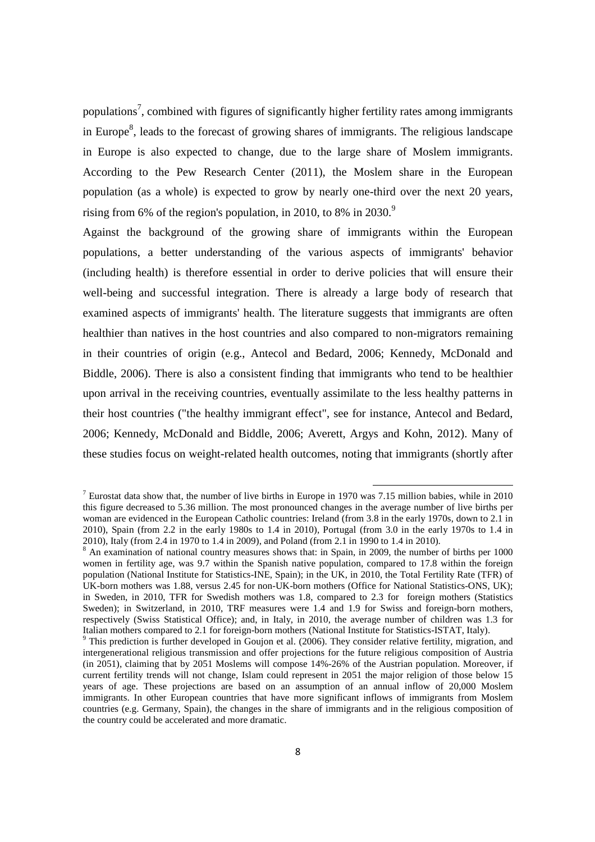populations<sup>7</sup>, combined with figures of significantly higher fertility rates among immigrants in Europe<sup>8</sup>, leads to the forecast of growing shares of immigrants. The religious landscape in Europe is also expected to change, due to the large share of Moslem immigrants. According to the Pew Research Center (2011), the Moslem share in the European population (as a whole) is expected to grow by nearly one-third over the next 20 years, rising from 6% of the region's population, in 2010, to 8% in 2030.<sup>9</sup>

Against the background of the growing share of immigrants within the European populations, a better understanding of the various aspects of immigrants' behavior (including health) is therefore essential in order to derive policies that will ensure their well-being and successful integration. There is already a large body of research that examined aspects of immigrants' health. The literature suggests that immigrants are often healthier than natives in the host countries and also compared to non-migrators remaining in their countries of origin (e.g., Antecol and Bedard, 2006; Kennedy, McDonald and Biddle, 2006). There is also a consistent finding that immigrants who tend to be healthier upon arrival in the receiving countries, eventually assimilate to the less healthy patterns in their host countries ("the healthy immigrant effect", see for instance, Antecol and Bedard, 2006; Kennedy, McDonald and Biddle, 2006; Averett, Argys and Kohn, 2012). Many of these studies focus on weight-related health outcomes, noting that immigrants (shortly after

 $\overline{a}$ 

<sup>&</sup>lt;sup>7</sup> Eurostat data show that, the number of live births in Europe in 1970 was 7.15 million babies, while in 2010 this figure decreased to 5.36 million. The most pronounced changes in the average number of live births per woman are evidenced in the European Catholic countries: Ireland (from 3.8 in the early 1970s, down to 2.1 in 2010), Spain (from 2.2 in the early 1980s to 1.4 in 2010), Portugal (from 3.0 in the early 1970s to 1.4 in 2010), Italy (from 2.4 in 1970 to 1.4 in 2009), and Poland (from 2.1 in 1990 to 1.4 in 2010).

<sup>&</sup>lt;sup>8</sup> An examination of national country measures shows that: in Spain, in 2009, the number of births per 1000 women in fertility age, was 9.7 within the Spanish native population, compared to 17.8 within the foreign population (National Institute for Statistics-INE, Spain); in the UK, in 2010, the Total Fertility Rate (TFR) of UK-born mothers was 1.88, versus 2.45 for non-UK-born mothers (Office for National Statistics-ONS, UK); in Sweden, in 2010, TFR for Swedish mothers was 1.8, compared to 2.3 for foreign mothers (Statistics Sweden); in Switzerland, in 2010, TRF measures were 1.4 and 1.9 for Swiss and foreign-born mothers, respectively (Swiss Statistical Office); and, in Italy, in 2010, the average number of children was 1.3 for Italian mothers compared to 2.1 for foreign-born mothers (National Institute for Statistics-ISTAT, Italy).

<sup>&</sup>lt;sup>9</sup> This prediction is further developed in Goujon et al. (2006). They consider relative fertility, migration, and intergenerational religious transmission and offer projections for the future religious composition of Austria (in 2051), claiming that by 2051 Moslems will compose 14%-26% of the Austrian population. Moreover, if current fertility trends will not change, Islam could represent in 2051 the major religion of those below 15 years of age. These projections are based on an assumption of an annual inflow of 20,000 Moslem immigrants. In other European countries that have more significant inflows of immigrants from Moslem countries (e.g. Germany, Spain), the changes in the share of immigrants and in the religious composition of the country could be accelerated and more dramatic.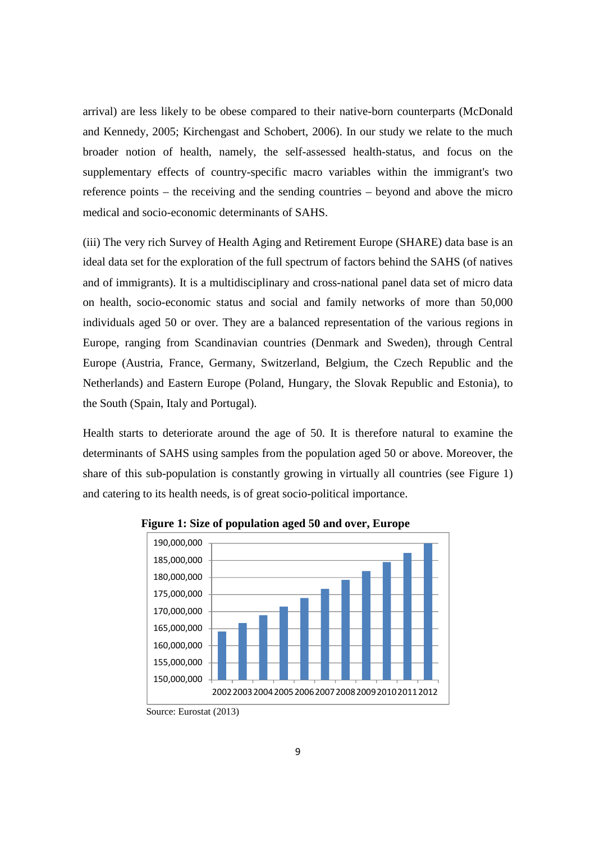arrival) are less likely to be obese compared to their native-born counterparts (McDonald and Kennedy, 2005; Kirchengast and Schobert, 2006). In our study we relate to the much broader notion of health, namely, the self-assessed health-status, and focus on the supplementary effects of country-specific macro variables within the immigrant's two reference points – the receiving and the sending countries – beyond and above the micro medical and socio-economic determinants of SAHS.

(iii) The very rich Survey of Health Aging and Retirement Europe (SHARE) data base is an ideal data set for the exploration of the full spectrum of factors behind the SAHS (of natives and of immigrants). It is a multidisciplinary and cross-national panel data set of micro data on health, socio-economic status and social and family networks of more than 50,000 individuals aged 50 or over. They are a balanced representation of the various regions in Europe, ranging from Scandinavian countries (Denmark and Sweden), through Central Europe (Austria, France, Germany, Switzerland, Belgium, the Czech Republic and the Netherlands) and Eastern Europe (Poland, Hungary, the Slovak Republic and Estonia), to the South (Spain, Italy and Portugal).

Health starts to deteriorate around the age of 50. It is therefore natural to examine the determinants of SAHS using samples from the population aged 50 or above. Moreover, the share of this sub-population is constantly growing in virtually all countries (see Figure 1) and catering to its health needs, is of great socio-political importance.



#### **Figure 1: Size of population aged 50 and over, Europe**

Source: Eurostat (2013)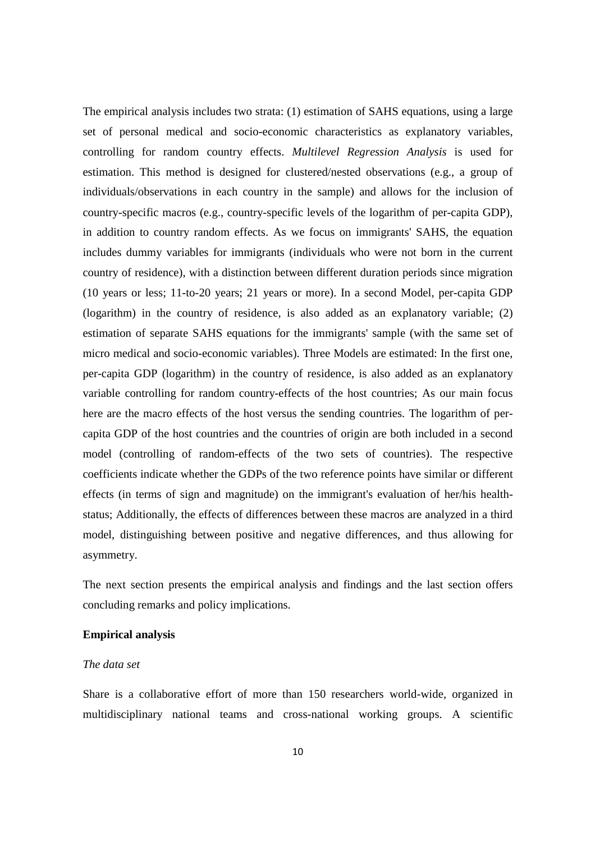The empirical analysis includes two strata: (1) estimation of SAHS equations, using a large set of personal medical and socio-economic characteristics as explanatory variables, controlling for random country effects. *Multilevel Regression Analysis* is used for estimation. This method is designed for clustered/nested observations (e.g., a group of individuals/observations in each country in the sample) and allows for the inclusion of country-specific macros (e.g., country-specific levels of the logarithm of per-capita GDP), in addition to country random effects. As we focus on immigrants' SAHS, the equation includes dummy variables for immigrants (individuals who were not born in the current country of residence), with a distinction between different duration periods since migration (10 years or less; 11-to-20 years; 21 years or more). In a second Model, per-capita GDP (logarithm) in the country of residence, is also added as an explanatory variable; (2) estimation of separate SAHS equations for the immigrants' sample (with the same set of micro medical and socio-economic variables). Three Models are estimated: In the first one, per-capita GDP (logarithm) in the country of residence, is also added as an explanatory variable controlling for random country-effects of the host countries; As our main focus here are the macro effects of the host versus the sending countries. The logarithm of percapita GDP of the host countries and the countries of origin are both included in a second model (controlling of random-effects of the two sets of countries). The respective coefficients indicate whether the GDPs of the two reference points have similar or different effects (in terms of sign and magnitude) on the immigrant's evaluation of her/his healthstatus; Additionally, the effects of differences between these macros are analyzed in a third model, distinguishing between positive and negative differences, and thus allowing for asymmetry.

The next section presents the empirical analysis and findings and the last section offers concluding remarks and policy implications.

#### **Empirical analysis**

#### *The data set*

Share is a collaborative effort of more than 150 researchers world-wide, organized in multidisciplinary national teams and cross-national working groups. A scientific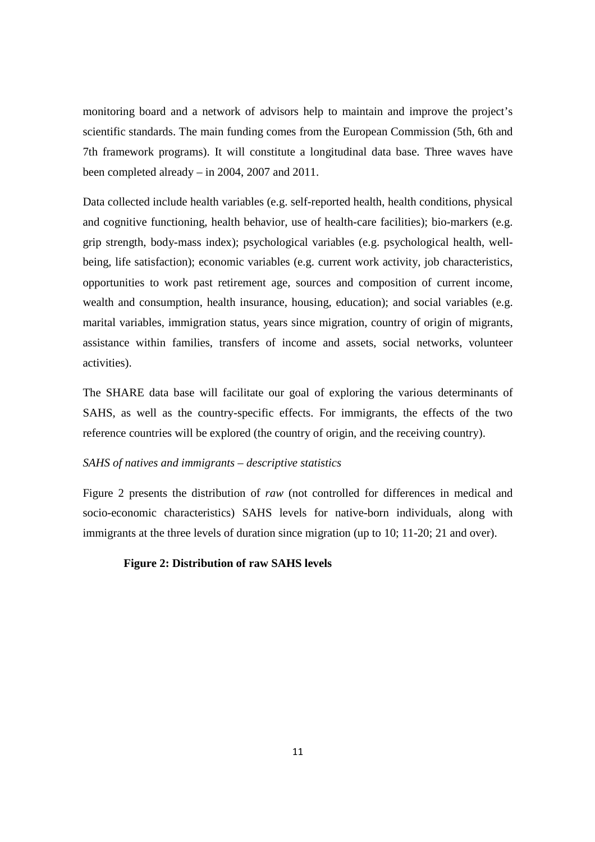monitoring board and a network of advisors help to maintain and improve the project's scientific standards. The main funding comes from the European Commission (5th, 6th and 7th framework programs). It will constitute a longitudinal data base. Three waves have been completed already – in 2004, 2007 and 2011.

Data collected include health variables (e.g. self-reported health, health conditions, physical and cognitive functioning, health behavior, use of health-care facilities); bio-markers (e.g. grip strength, body-mass index); psychological variables (e.g. psychological health, wellbeing, life satisfaction); economic variables (e.g. current work activity, job characteristics, opportunities to work past retirement age, sources and composition of current income, wealth and consumption, health insurance, housing, education); and social variables (e.g. marital variables, immigration status, years since migration, country of origin of migrants, assistance within families, transfers of income and assets, social networks, volunteer activities).

The SHARE data base will facilitate our goal of exploring the various determinants of SAHS, as well as the country-specific effects. For immigrants, the effects of the two reference countries will be explored (the country of origin, and the receiving country).

#### *SAHS of natives and immigrants – descriptive statistics*

Figure 2 presents the distribution of *raw* (not controlled for differences in medical and socio-economic characteristics) SAHS levels for native-born individuals, along with immigrants at the three levels of duration since migration (up to 10; 11-20; 21 and over).

#### **Figure 2: Distribution of raw SAHS levels**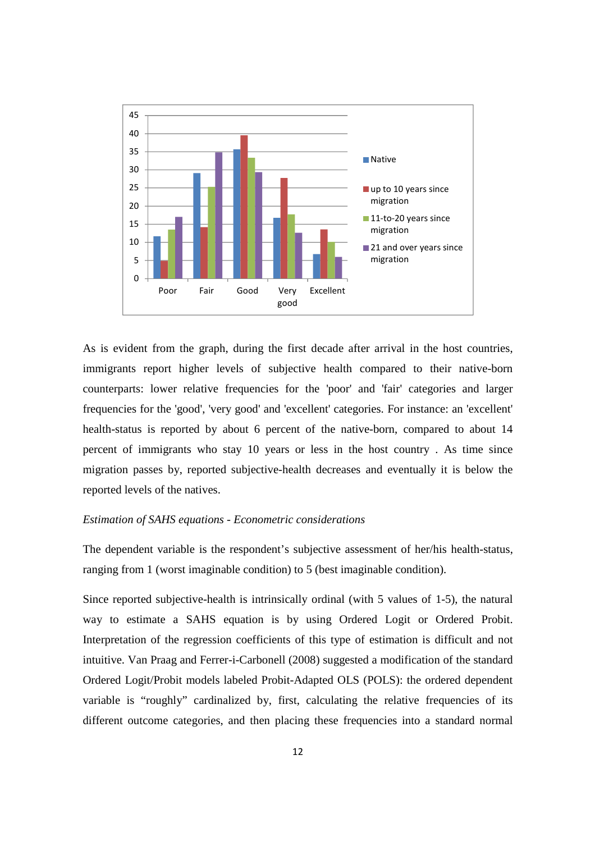

As is evident from the graph, during the first decade after arrival in the host countries, immigrants report higher levels of subjective health compared to their native-born counterparts: lower relative frequencies for the 'poor' and 'fair' categories and larger frequencies for the 'good', 'very good' and 'excellent' categories. For instance: an 'excellent' health-status is reported by about 6 percent of the native-born, compared to about 14 percent of immigrants who stay 10 years or less in the host country . As time since migration passes by, reported subjective-health decreases and eventually it is below the reported levels of the natives.

#### *Estimation of SAHS equations - Econometric considerations*

The dependent variable is the respondent's subjective assessment of her/his health-status, ranging from 1 (worst imaginable condition) to 5 (best imaginable condition).

Since reported subjective-health is intrinsically ordinal (with 5 values of 1-5), the natural way to estimate a SAHS equation is by using Ordered Logit or Ordered Probit. Interpretation of the regression coefficients of this type of estimation is difficult and not intuitive. Van Praag and Ferrer-i-Carbonell (2008) suggested a modification of the standard Ordered Logit/Probit models labeled Probit-Adapted OLS (POLS): the ordered dependent variable is "roughly" cardinalized by, first, calculating the relative frequencies of its different outcome categories, and then placing these frequencies into a standard normal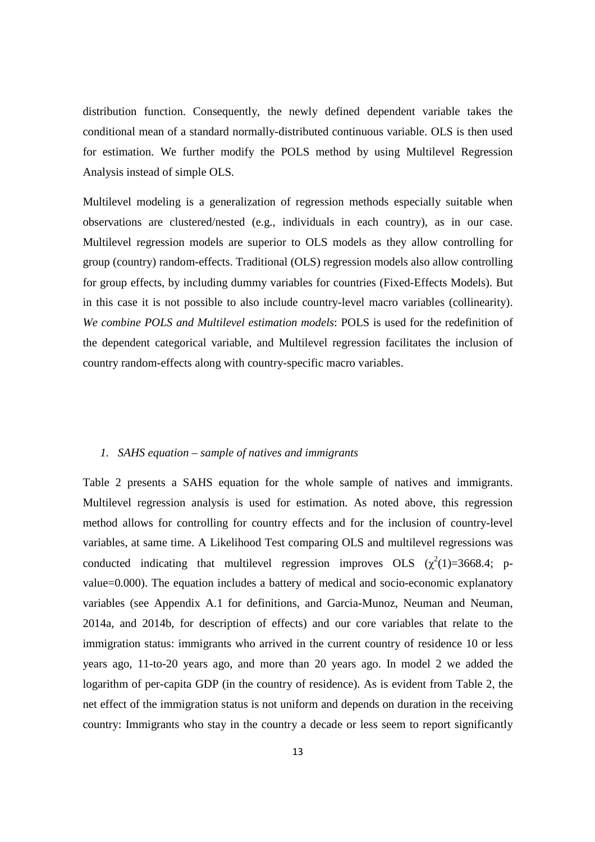distribution function. Consequently, the newly defined dependent variable takes the conditional mean of a standard normally-distributed continuous variable. OLS is then used for estimation. We further modify the POLS method by using Multilevel Regression Analysis instead of simple OLS.

Multilevel modeling is a generalization of regression methods especially suitable when observations are clustered/nested (e.g., individuals in each country), as in our case. Multilevel regression models are superior to OLS models as they allow controlling for group (country) random-effects. Traditional (OLS) regression models also allow controlling for group effects, by including dummy variables for countries (Fixed-Effects Models). But in this case it is not possible to also include country-level macro variables (collinearity). *We combine POLS and Multilevel estimation models*: POLS is used for the redefinition of the dependent categorical variable, and Multilevel regression facilitates the inclusion of country random-effects along with country-specific macro variables.

#### *1. SAHS equation – sample of natives and immigrants*

Table 2 presents a SAHS equation for the whole sample of natives and immigrants. Multilevel regression analysis is used for estimation. As noted above, this regression method allows for controlling for country effects and for the inclusion of country-level variables, at same time. A Likelihood Test comparing OLS and multilevel regressions was conducted indicating that multilevel regression improves OLS  $(\chi^2(1)=3668.4; p$ value=0.000). The equation includes a battery of medical and socio-economic explanatory variables (see Appendix A.1 for definitions, and Garcia-Munoz, Neuman and Neuman, 2014a, and 2014b, for description of effects) and our core variables that relate to the immigration status: immigrants who arrived in the current country of residence 10 or less years ago, 11-to-20 years ago, and more than 20 years ago. In model 2 we added the logarithm of per-capita GDP (in the country of residence). As is evident from Table 2, the net effect of the immigration status is not uniform and depends on duration in the receiving country: Immigrants who stay in the country a decade or less seem to report significantly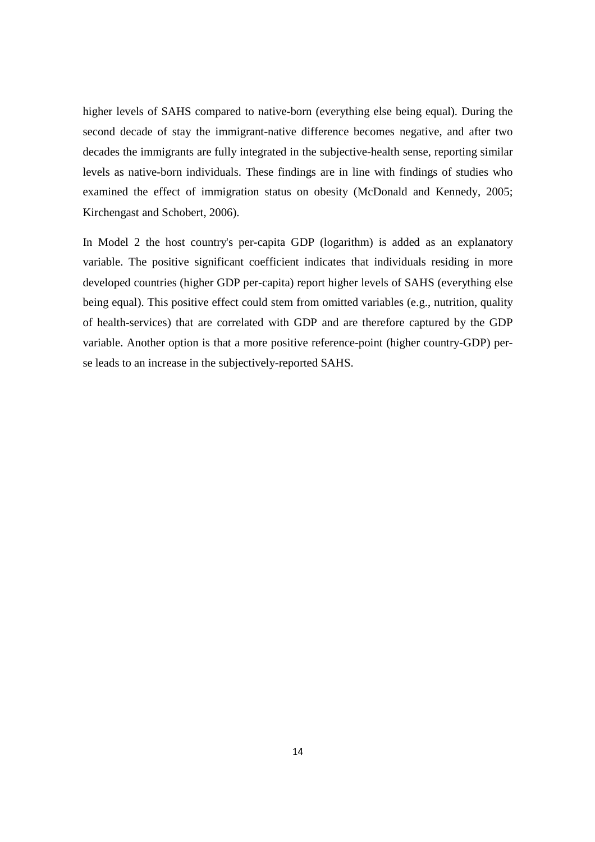higher levels of SAHS compared to native-born (everything else being equal). During the second decade of stay the immigrant-native difference becomes negative, and after two decades the immigrants are fully integrated in the subjective-health sense, reporting similar levels as native-born individuals. These findings are in line with findings of studies who examined the effect of immigration status on obesity (McDonald and Kennedy, 2005; Kirchengast and Schobert, 2006).

In Model 2 the host country's per-capita GDP (logarithm) is added as an explanatory variable. The positive significant coefficient indicates that individuals residing in more developed countries (higher GDP per-capita) report higher levels of SAHS (everything else being equal). This positive effect could stem from omitted variables (e.g., nutrition, quality of health-services) that are correlated with GDP and are therefore captured by the GDP variable. Another option is that a more positive reference-point (higher country-GDP) perse leads to an increase in the subjectively-reported SAHS.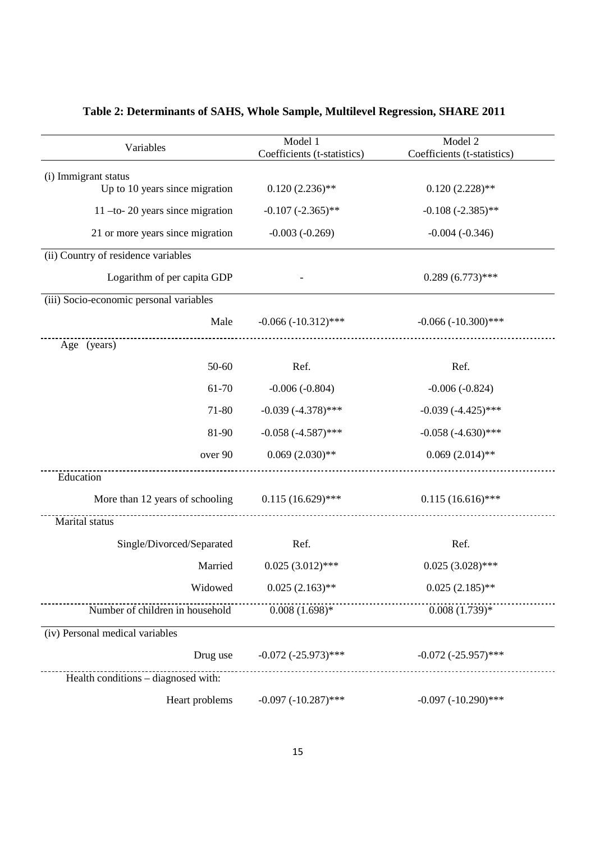| Variables                               | Model 1<br>Coefficients (t-statistics) | Model 2<br>Coefficients (t-statistics) |
|-----------------------------------------|----------------------------------------|----------------------------------------|
| (i) Immigrant status                    |                                        |                                        |
| Up to 10 years since migration          | $0.120(2.236)$ **                      | $0.120(2.228)$ **                      |
| $11$ -to- 20 years since migration      | $-0.107 (-2.365)$ **                   | $-0.108 (-2.385)$ **                   |
| 21 or more years since migration        | $-0.003(-0.269)$                       | $-0.004(-0.346)$                       |
| (ii) Country of residence variables     |                                        |                                        |
| Logarithm of per capita GDP             |                                        | $0.289(6.773)$ ***                     |
| (iii) Socio-economic personal variables |                                        |                                        |
| Male                                    | $-0.066 (-10.312)$ ***                 | $-0.066(-10.300)$ ***                  |
| Age (years)                             |                                        |                                        |
| 50-60                                   | Ref.                                   | Ref.                                   |
| 61-70                                   | $-0.006(-0.804)$                       | $-0.006(-0.824)$                       |
| 71-80                                   | $-0.039(-4.378)$ ***                   | $-0.039(-4.425)$ ***                   |
| 81-90                                   | $-0.058(-4.587)$ ***                   | $-0.058(-4.630)$ ***                   |
| over 90                                 | $0.069(2.030)$ **                      | $0.069(2.014)$ **                      |
| Education                               |                                        |                                        |
| More than 12 years of schooling         | $0.115(16.629)$ ***                    | $0.115(16.616)$ ***                    |
| Marital status                          |                                        |                                        |
| Single/Divorced/Separated               | Ref.                                   | Ref.                                   |
| Married                                 | $0.025(3.012)$ ***                     | $0.025(3.028)$ ***                     |
| Widowed                                 | $0.025(2.163)$ **                      | $0.025(2.185)$ **                      |
| Number of children in household         | $0.008(1.698)*$                        | $(0.008(1.739)*$                       |
| (iv) Personal medical variables         |                                        |                                        |
| Drug use                                | $-0.072$ $(-25.973)$ ***               | $-0.072$ $(-25.957)$ ***               |
| Health conditions - diagnosed with:     |                                        |                                        |
| Heart problems                          | $-0.097 (-10.287)$ ***                 | $-0.097 (-10.290)$ ***                 |

## **Table 2: Determinants of SAHS, Whole Sample, Multilevel Regression, SHARE 2011**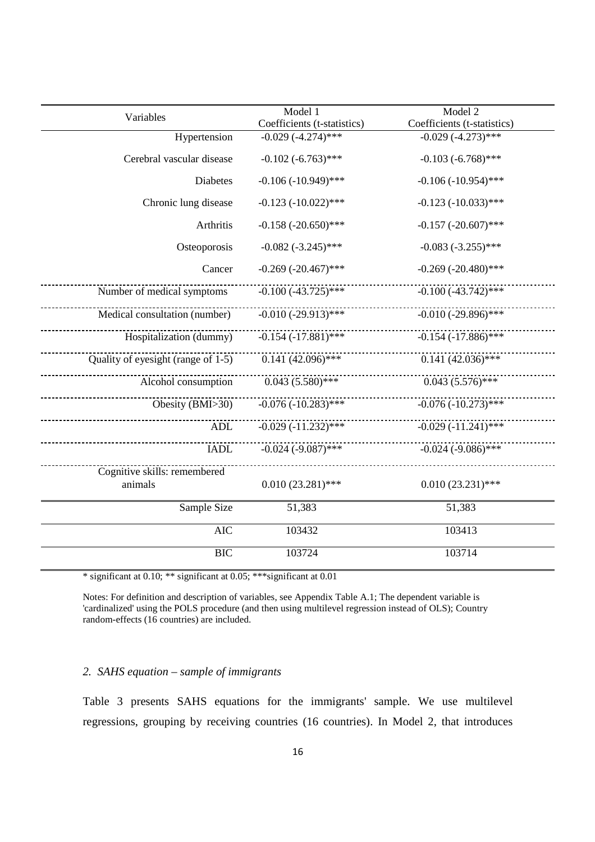|                                         | Model 1                     | Model 2                     |  |
|-----------------------------------------|-----------------------------|-----------------------------|--|
| Variables                               | Coefficients (t-statistics) | Coefficients (t-statistics) |  |
| Hypertension                            | $-0.029(-4.274)$ ***        | $-0.029(-4.273)$ ***        |  |
| Cerebral vascular disease               | $-0.102 (-6.763)$ ***       | $-0.103 (-6.768)$ ***       |  |
| Diabetes                                | $-0.106 (-10.949)$ ***      | $-0.106 (-10.954)$ ***      |  |
| Chronic lung disease                    | $-0.123 (-10.022)$ ***      | $-0.123 (-10.033)$ ***      |  |
| Arthritis                               | $-0.158 (-20.650)$ ***      | $-0.157$ $(-20.607)$ ***    |  |
| Osteoporosis                            | $-0.082 (-3.245)$ ***       | $-0.083 (-3.255)$ ***       |  |
| Cancer                                  | $-0.269$ $(-20.467)$ ***    | $-0.269$ $(-20.480)$ ***    |  |
| Number of medical symptoms              | $-0.100(-43.725)$ ***       | $-0.100(-43.742)$ ***       |  |
| Medical consultation (number)           | $-0.010(-29.913)$ ***       | $-0.010(-29.896)$ ***       |  |
| Hospitalization (dummy)                 | $-0.154 (-17.881)$ ***      | $-0.154(-17.886)$ ***       |  |
| Quality of eyesight (range of 1-5)      | $0.141(42.096)$ ***         | $0.141(42.036)$ ***         |  |
| Alcohol consumption                     | $0.043(5.580)$ ***          | $0.043(5.576)$ ***          |  |
| Obesity (BMI>30)                        | $-0.076(-10.283)$ ***       | $-0.076(-10.273)$ ***       |  |
| <b>ADL</b>                              | $-0.029(-11.232)$ ***       | $-0.029(-11.241)$ ***       |  |
| <b>IADL</b>                             | $-0.024$ $(-9.087)$ ***     | $-0.024 (-9.086)$ ***       |  |
| Cognitive skills: remembered<br>animals | $0.010(23.281)$ ***         | $0.010(23.231)$ ***         |  |
| Sample Size                             | 51,383                      | 51,383                      |  |
| <b>AIC</b>                              | 103432                      | 103413                      |  |
| <b>BIC</b>                              | 103724                      | 103714                      |  |

\* significant at 0.10; \*\* significant at 0.05; \*\*\*significant at 0.01

Notes: For definition and description of variables, see Appendix Table A.1; The dependent variable is 'cardinalized' using the POLS procedure (and then using multilevel regression instead of OLS); Country random-effects (16 countries) are included.

#### *2. SAHS equation – sample of immigrants*

Table 3 presents SAHS equations for the immigrants' sample. We use multilevel regressions, grouping by receiving countries (16 countries). In Model 2, that introduces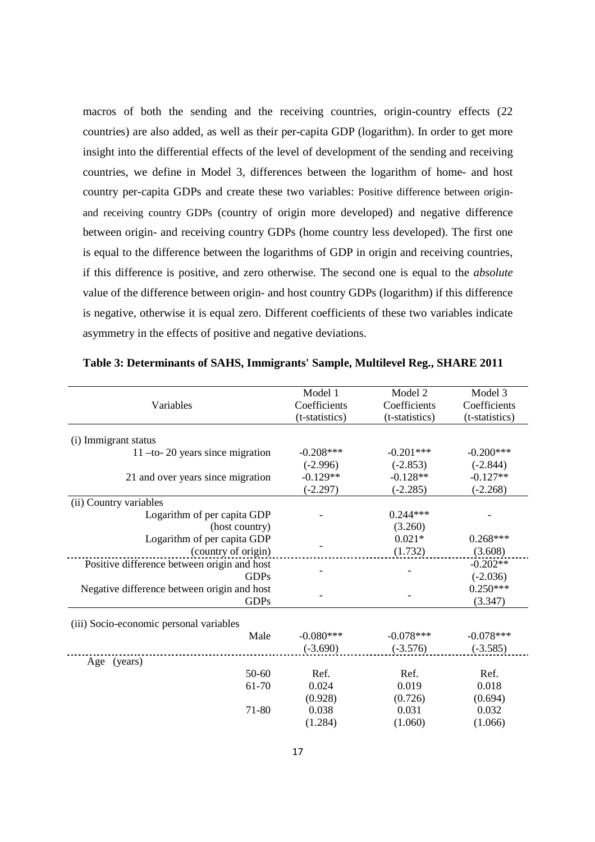macros of both the sending and the receiving countries, origin-country effects (22 countries) are also added, as well as their per-capita GDP (logarithm). In order to get more insight into the differential effects of the level of development of the sending and receiving countries, we define in Model 3, differences between the logarithm of home- and host country per-capita GDPs and create these two variables: Positive difference between originand receiving country GDPs (country of origin more developed) and negative difference between origin- and receiving country GDPs (home country less developed). The first one is equal to the difference between the logarithms of GDP in origin and receiving countries, if this difference is positive, and zero otherwise. The second one is equal to the *absolute* value of the difference between origin- and host country GDPs (logarithm) if this difference is negative, otherwise it is equal zero. Different coefficients of these two variables indicate asymmetry in the effects of positive and negative deviations.

|                                             | Model 1        | Model 2        | Model 3        |
|---------------------------------------------|----------------|----------------|----------------|
| Variables                                   | Coefficients   | Coefficients   | Coefficients   |
|                                             | (t-statistics) | (t-statistics) | (t-statistics) |
|                                             |                |                |                |
| (i) Immigrant status                        |                |                |                |
| $11$ -to- 20 years since migration          | $-0.208***$    | $-0.201***$    | $-0.200***$    |
|                                             | $(-2.996)$     | $(-2.853)$     | $(-2.844)$     |
| 21 and over years since migration           | $-0.129**$     | $-0.128**$     | $-0.127**$     |
|                                             | $(-2.297)$     | $(-2.285)$     | $(-2.268)$     |
| (ii) Country variables                      |                |                |                |
| Logarithm of per capita GDP                 |                | $0.244***$     |                |
| (host country)                              |                | (3.260)        |                |
| Logarithm of per capita GDP                 |                | $0.021*$       | $0.268***$     |
| (country of origin)                         |                | (1.732)        | (3.608)        |
| Positive difference between origin and host |                |                | $-0.202**$     |
| <b>GDPs</b>                                 |                |                | $(-2.036)$     |
| Negative difference between origin and host |                |                | $0.250***$     |
| <b>GDPs</b>                                 |                |                | (3.347)        |
| (iii) Socio-economic personal variables     |                |                |                |
| Male                                        | $-0.080***$    | $-0.078***$    | $-0.078***$    |
|                                             | $(-3.690)$     | $(-3.576)$     | $(-3.585)$     |
| Age (years)                                 |                |                |                |
| 50-60                                       | Ref.           | Ref.           | Ref.           |
| 61-70                                       | 0.024          | 0.019          | 0.018          |
|                                             | (0.928)        | (0.726)        | (0.694)        |
| 71-80                                       | 0.038          | 0.031          | 0.032          |
|                                             | (1.284)        | (1.060)        | (1.066)        |
|                                             |                |                |                |

**Table 3: Determinants of SAHS, Immigrants' Sample, Multilevel Reg., SHARE 2011**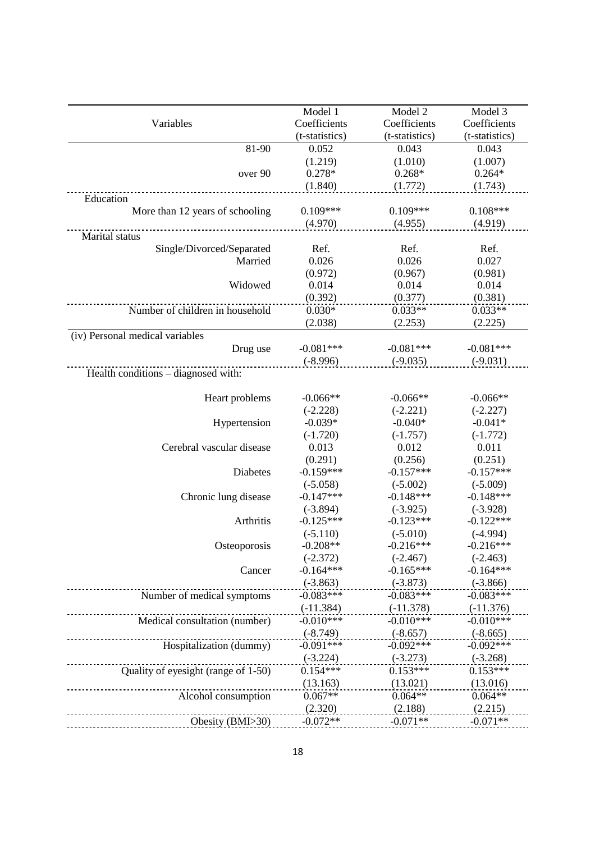|                                     | Model 1        | Model 2        | Model 3        |
|-------------------------------------|----------------|----------------|----------------|
| Variables                           | Coefficients   | Coefficients   | Coefficients   |
|                                     | (t-statistics) | (t-statistics) | (t-statistics) |
| 81-90                               | 0.052          | 0.043          | 0.043          |
|                                     | (1.219)        | (1.010)        | (1.007)        |
| over 90                             | $0.278*$       | $0.268*$       | $0.264*$       |
|                                     | (1.840)        | (1.772)        | (1.743)        |
| Education                           |                |                |                |
| More than 12 years of schooling     | $0.109***$     | $0.109***$     | $0.108***$     |
|                                     | (4.970)        | (4.955)        | (4.919)        |
| Marital status                      |                |                |                |
| Single/Divorced/Separated           | Ref.           | Ref.           | Ref.           |
| Married                             | 0.026          | 0.026          | 0.027          |
|                                     | (0.972)        | (0.967)        | (0.981)        |
| Widowed                             | 0.014          | 0.014          | 0.014          |
|                                     | (0.392)        | (0.377)        | (0.381)        |
| Number of children in household     | $0.030*$       | $0.033**$      | $0.033**$      |
|                                     | (2.038)        | (2.253)        | (2.225)        |
| (iv) Personal medical variables     |                |                |                |
| Drug use                            | $-0.081***$    | $-0.081***$    | $-0.081***$    |
|                                     | $(-8.996)$     | $(-9.035)$     | $(-9.031)$     |
| Health conditions – diagnosed with: |                |                |                |
|                                     |                |                |                |
| Heart problems                      | $-0.066**$     | $-0.066**$     | $-0.066**$     |
|                                     | $(-2.228)$     | $(-2.221)$     | $(-2.227)$     |
| Hypertension                        | $-0.039*$      | $-0.040*$      | $-0.041*$      |
|                                     | $(-1.720)$     | $(-1.757)$     | $(-1.772)$     |
| Cerebral vascular disease           | 0.013          | 0.012          | 0.011          |
|                                     | (0.291)        | (0.256)        | (0.251)        |
| Diabetes                            | $-0.159***$    | $-0.157***$    | $-0.157***$    |
|                                     | $(-5.058)$     | $(-5.002)$     | $(-5.009)$     |
| Chronic lung disease                | $-0.147***$    | $-0.148***$    | $-0.148***$    |
|                                     | $(-3.894)$     | $(-3.925)$     | $(-3.928)$     |
| Arthritis                           | $-0.125***$    | $-0.123***$    | $-0.122***$    |
|                                     | $(-5.110)$     | $(-5.010)$     | $(-4.994)$     |
| Osteoporosis                        | $-0.208**$     | $-0.216***$    | $-0.216***$    |
|                                     | $(-2.372)$     | $(-2.467)$     | $(-2.463)$     |
| Cancer                              | $-0.164***$    | $-0.165***$    | $-0.164***$    |
|                                     | $(-3.863)$     | $(-3.873)$     | $(-3.866)$     |
| Number of medical symptoms          | $-0.083***$    | $-0.083***$    | $-0.083***$    |
|                                     | $(-11.384)$    | $(-11.378)$    | $(-11.376)$    |
| Medical consultation (number)       | $-0.010***$    | $-0.010***$    | $-0.010***$    |
|                                     | $(-8.749)$     | $(-8.657)$     | $(-8.665)$     |
| Hospitalization (dummy)             | $-0.091***$    | $-0.092***$    | $-0.092***$    |
|                                     | $(-3.224)$     | $(-3.273)$     | $(-3.268)$     |
| Quality of eyesight (range of 1-50) | $0.154***$     | $0.153***$     | $0.153***$     |
|                                     | (13.163)       | (13.021)       | (13.016)       |
| Alcohol consumption                 | $0.067**$      | $0.064**$      | $0.064**$      |
|                                     | (2.320)        | (2.188)        | (2.215)        |
| Obesity (BMI>30)                    | $-0.072**$     | $-0.071**$     | $-0.071**$     |
|                                     |                |                |                |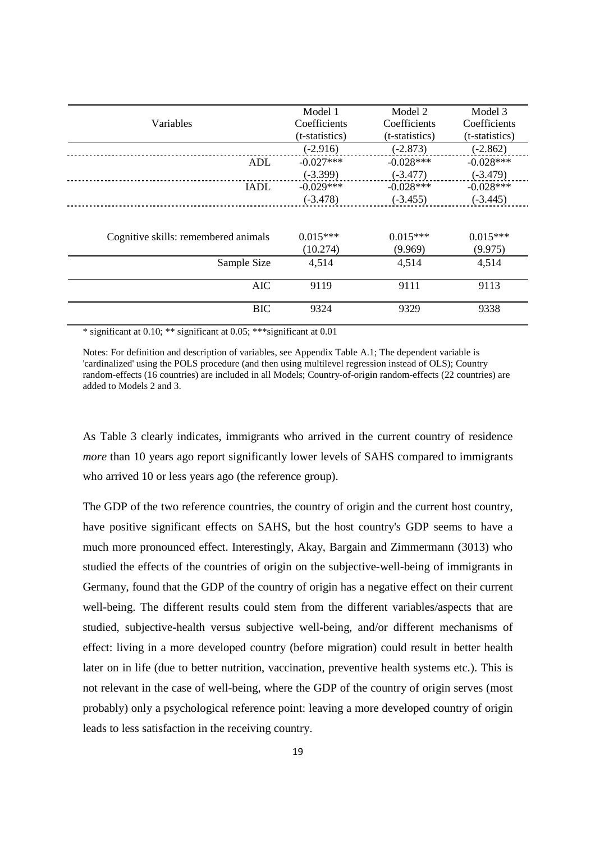|                                      | Model 1        | Model 2        | Model 3        |
|--------------------------------------|----------------|----------------|----------------|
|                                      |                |                |                |
| Variables                            | Coefficients   | Coefficients   | Coefficients   |
|                                      | (t-statistics) | (t-statistics) | (t-statistics) |
|                                      | $(-2.916)$     | $(-2.873)$     | $(-2.862)$     |
| ADL                                  | $-0.027***$    | $-0.028***$    | $-0.028***$    |
|                                      | $(-3.399)$     | $(-3.477)$     | $(-3.479)$     |
| <b>IADL</b>                          | $-0.029***$    | $-0.028***$    | $-0.028***$    |
|                                      | $(-3.478)$     | $(-3.455)$     | $(-3.445)$     |
|                                      |                |                |                |
| Cognitive skills: remembered animals | $0.015***$     | $0.015***$     | $0.015***$     |
|                                      | (10.274)       | (9.969)        | (9.975)        |
| Sample Size                          | 4,514          | 4,514          | 4,514          |
| <b>AIC</b>                           | 9119           | 9111           | 9113           |
| <b>BIC</b>                           | 9324           | 9329           | 9338           |

\* significant at 0.10; \*\* significant at 0.05; \*\*\*significant at 0.01

Notes: For definition and description of variables, see Appendix Table A.1; The dependent variable is 'cardinalized' using the POLS procedure (and then using multilevel regression instead of OLS); Country random-effects (16 countries) are included in all Models; Country-of-origin random-effects (22 countries) are added to Models 2 and 3.

As Table 3 clearly indicates, immigrants who arrived in the current country of residence *more* than 10 years ago report significantly lower levels of SAHS compared to immigrants who arrived 10 or less years ago (the reference group).

The GDP of the two reference countries, the country of origin and the current host country, have positive significant effects on SAHS, but the host country's GDP seems to have a much more pronounced effect. Interestingly, Akay, Bargain and Zimmermann (3013) who studied the effects of the countries of origin on the subjective-well-being of immigrants in Germany, found that the GDP of the country of origin has a negative effect on their current well-being. The different results could stem from the different variables/aspects that are studied, subjective-health versus subjective well-being, and/or different mechanisms of effect: living in a more developed country (before migration) could result in better health later on in life (due to better nutrition, vaccination, preventive health systems etc.). This is not relevant in the case of well-being, where the GDP of the country of origin serves (most probably) only a psychological reference point: leaving a more developed country of origin leads to less satisfaction in the receiving country.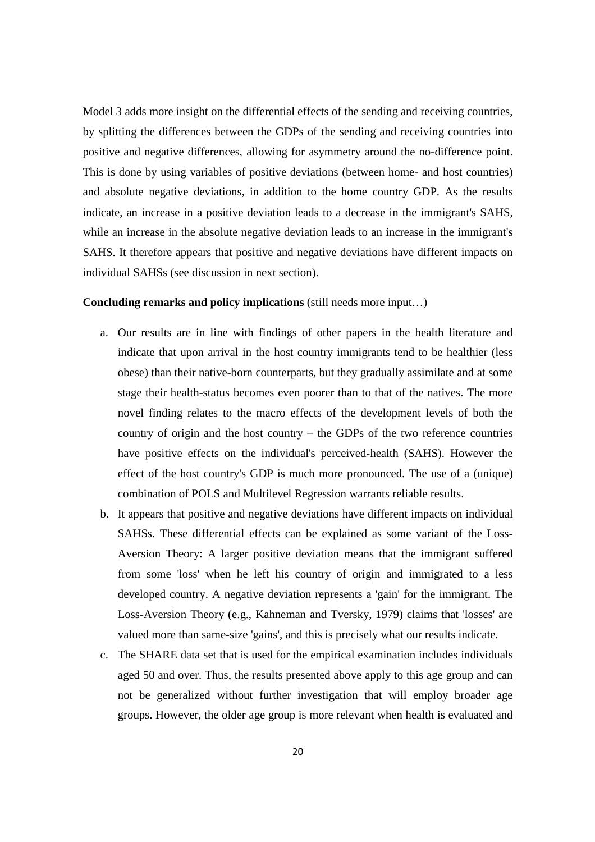Model 3 adds more insight on the differential effects of the sending and receiving countries, by splitting the differences between the GDPs of the sending and receiving countries into positive and negative differences, allowing for asymmetry around the no-difference point. This is done by using variables of positive deviations (between home- and host countries) and absolute negative deviations, in addition to the home country GDP. As the results indicate, an increase in a positive deviation leads to a decrease in the immigrant's SAHS, while an increase in the absolute negative deviation leads to an increase in the immigrant's SAHS. It therefore appears that positive and negative deviations have different impacts on individual SAHSs (see discussion in next section).

#### **Concluding remarks and policy implications** (still needs more input…)

- a. Our results are in line with findings of other papers in the health literature and indicate that upon arrival in the host country immigrants tend to be healthier (less obese) than their native-born counterparts, but they gradually assimilate and at some stage their health-status becomes even poorer than to that of the natives. The more novel finding relates to the macro effects of the development levels of both the country of origin and the host country – the GDPs of the two reference countries have positive effects on the individual's perceived-health (SAHS). However the effect of the host country's GDP is much more pronounced. The use of a (unique) combination of POLS and Multilevel Regression warrants reliable results.
- b. It appears that positive and negative deviations have different impacts on individual SAHSs. These differential effects can be explained as some variant of the Loss-Aversion Theory: A larger positive deviation means that the immigrant suffered from some 'loss' when he left his country of origin and immigrated to a less developed country. A negative deviation represents a 'gain' for the immigrant. The Loss-Aversion Theory (e.g., Kahneman and Tversky, 1979) claims that 'losses' are valued more than same-size 'gains', and this is precisely what our results indicate.
- c. The SHARE data set that is used for the empirical examination includes individuals aged 50 and over. Thus, the results presented above apply to this age group and can not be generalized without further investigation that will employ broader age groups. However, the older age group is more relevant when health is evaluated and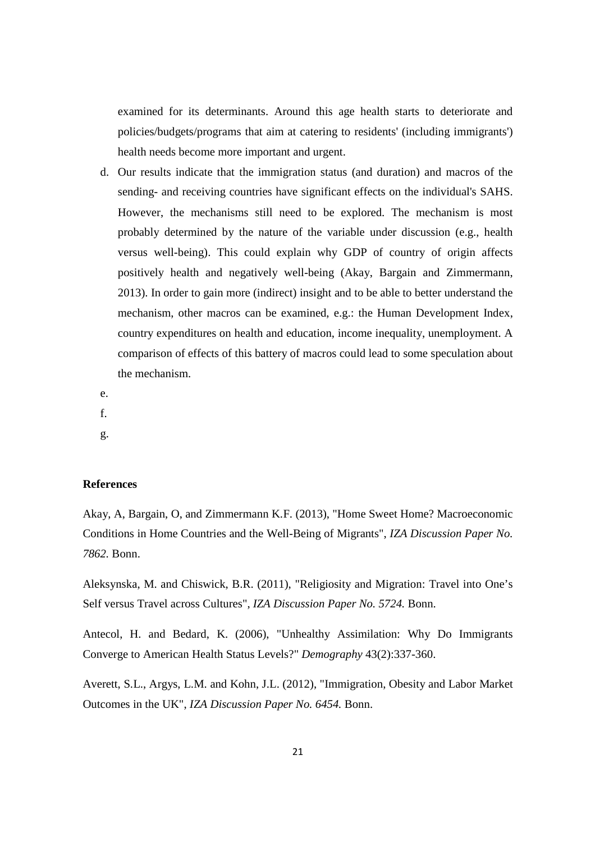examined for its determinants. Around this age health starts to deteriorate and policies/budgets/programs that aim at catering to residents' (including immigrants') health needs become more important and urgent.

d. Our results indicate that the immigration status (and duration) and macros of the sending- and receiving countries have significant effects on the individual's SAHS. However, the mechanisms still need to be explored. The mechanism is most probably determined by the nature of the variable under discussion (e.g., health versus well-being). This could explain why GDP of country of origin affects positively health and negatively well-being (Akay, Bargain and Zimmermann, 2013). In order to gain more (indirect) insight and to be able to better understand the mechanism, other macros can be examined, e.g.: the Human Development Index, country expenditures on health and education, income inequality, unemployment. A comparison of effects of this battery of macros could lead to some speculation about the mechanism.

e.

f.

g.

#### **References**

Akay, A, Bargain, O, and Zimmermann K.F. (2013), "Home Sweet Home? Macroeconomic Conditions in Home Countries and the Well-Being of Migrants", *IZA Discussion Paper No. 7862.* Bonn.

Aleksynska, M. and Chiswick, B.R. (2011), "Religiosity and Migration: Travel into One's Self versus Travel across Cultures", *IZA Discussion Paper No. 5724.* Bonn.

Antecol, H. and Bedard, K. (2006), "Unhealthy Assimilation: Why Do Immigrants Converge to American Health Status Levels?" *Demography* 43(2):337-360.

Averett, S.L., Argys, L.M. and Kohn, J.L. (2012), "Immigration, Obesity and Labor Market Outcomes in the UK", *IZA Discussion Paper No. 6454.* Bonn.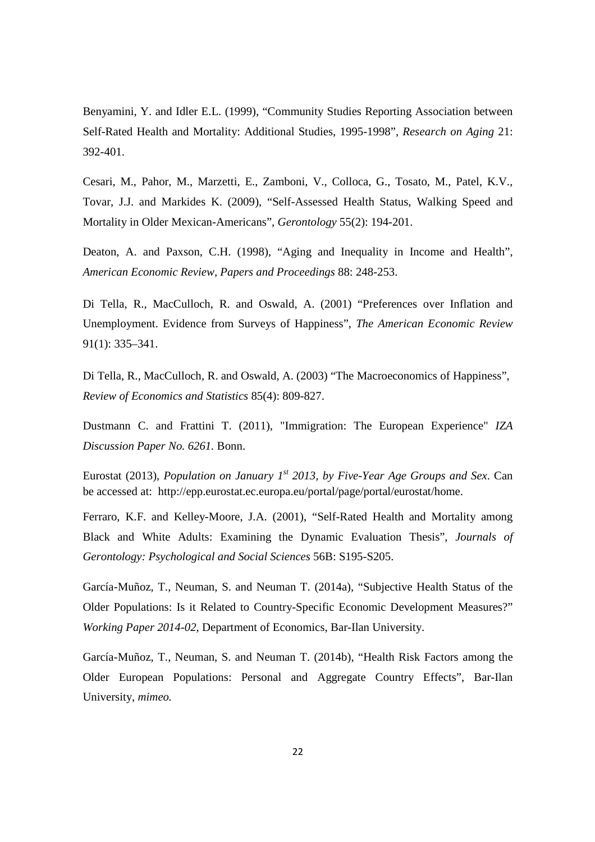Benyamini, Y. and Idler E.L. (1999), "Community Studies Reporting Association between Self-Rated Health and Mortality: Additional Studies, 1995-1998", *Research on Aging* 21: 392-401.

Cesari, M., Pahor, M., Marzetti, E., Zamboni, V., Colloca, G., Tosato, M., Patel, K.V., Tovar, J.J. and Markides K. (2009), "Self-Assessed Health Status, Walking Speed and Mortality in Older Mexican-Americans", *Gerontology* 55(2): 194-201.

Deaton, A. and Paxson, C.H. (1998), "Aging and Inequality in Income and Health", *American Economic Review, Papers and Proceedings* 88: 248-253.

Di Tella, R., MacCulloch, R. and Oswald, A. (2001) "Preferences over Inflation and Unemployment. Evidence from Surveys of Happiness", *The American Economic Review*  91(1): 335–341.

Di Tella, R., MacCulloch, R. and Oswald, A. (2003) "The Macroeconomics of Happiness", *Review of Economics and Statistics* 85(4): 809-827.

Dustmann C. and Frattini T. (2011), "Immigration: The European Experience" *IZA Discussion Paper No. 6261.* Bonn.

Eurostat (2013), *Population on January 1st 2013, by Five-Year Age Groups and Sex*. Can be accessed at: http://epp.eurostat.ec.europa.eu/portal/page/portal/eurostat/home.

Ferraro, K.F. and Kelley-Moore, J.A. (2001), "Self-Rated Health and Mortality among Black and White Adults: Examining the Dynamic Evaluation Thesis", *Journals of Gerontology: Psychological and Social Sciences* 56B: S195-S205.

García-Muñoz, T., Neuman, S. and Neuman T. (2014a), "Subjective Health Status of the Older Populations: Is it Related to Country-Specific Economic Development Measures?" *Working Paper 2014-02*, Department of Economics, Bar-Ilan University.

García-Muñoz, T., Neuman, S. and Neuman T. (2014b), "Health Risk Factors among the Older European Populations: Personal and Aggregate Country Effects", Bar-Ilan University, *mimeo.*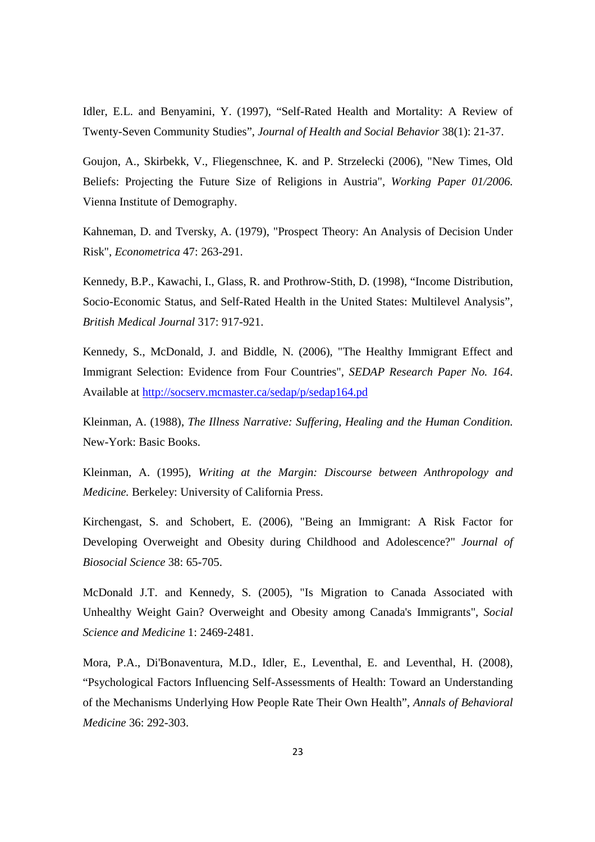Idler, E.L. and Benyamini, Y. (1997), "Self-Rated Health and Mortality: A Review of Twenty-Seven Community Studies", *Journal of Health and Social Behavior* 38(1): 21-37.

Goujon, A., Skirbekk, V., Fliegenschnee, K. and P. Strzelecki (2006), "New Times, Old Beliefs: Projecting the Future Size of Religions in Austria", *Working Paper 01/2006.* Vienna Institute of Demography.

Kahneman, D. and Tversky, A. (1979), "Prospect Theory: An Analysis of Decision Under Risk", *Econometrica* 47: 263-291.

Kennedy, B.P., Kawachi, I., Glass, R. and Prothrow-Stith, D. (1998), "Income Distribution, Socio-Economic Status, and Self-Rated Health in the United States: Multilevel Analysis", *British Medical Journal* 317: 917-921.

Kennedy, S., McDonald, J. and Biddle, N. (2006), "The Healthy Immigrant Effect and Immigrant Selection: Evidence from Four Countries", *SEDAP Research Paper No. 164*. Available at http://socserv.mcmaster.ca/sedap/p/sedap164.pd

Kleinman, A. (1988), *The Illness Narrative: Suffering, Healing and the Human Condition.* New-York: Basic Books.

Kleinman, A. (1995), *Writing at the Margin: Discourse between Anthropology and Medicine.* Berkeley: University of California Press.

Kirchengast, S. and Schobert, E. (2006), "Being an Immigrant: A Risk Factor for Developing Overweight and Obesity during Childhood and Adolescence?" *Journal of Biosocial Science* 38: 65-705.

McDonald J.T. and Kennedy, S. (2005), "Is Migration to Canada Associated with Unhealthy Weight Gain? Overweight and Obesity among Canada's Immigrants", *Social Science and Medicine* 1: 2469-2481.

Mora, P.A., Di'Bonaventura, M.D., Idler, E., Leventhal, E. and Leventhal, H. (2008), "Psychological Factors Influencing Self-Assessments of Health: Toward an Understanding of the Mechanisms Underlying How People Rate Their Own Health", *Annals of Behavioral Medicine* 36: 292-303.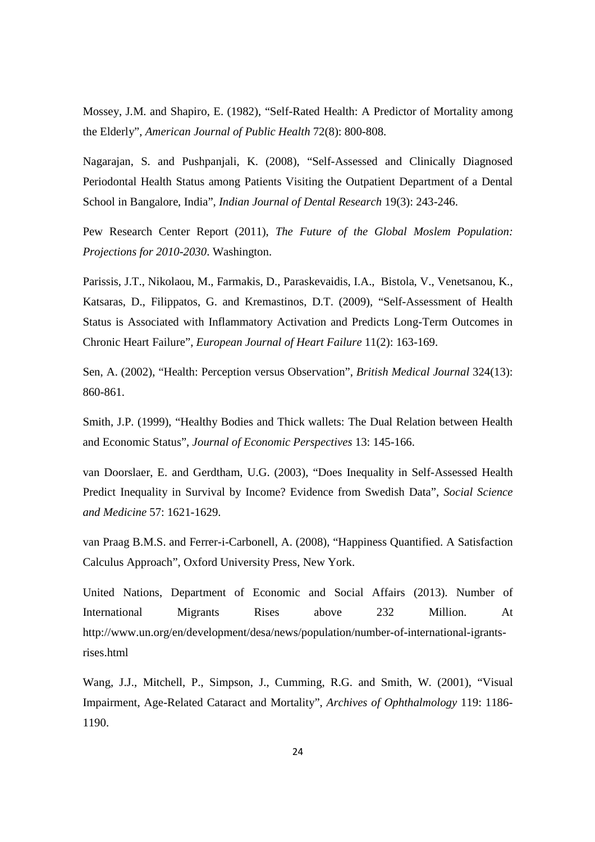Mossey, J.M. and Shapiro, E. (1982), "Self-Rated Health: A Predictor of Mortality among the Elderly", *American Journal of Public Health* 72(8): 800-808.

Nagarajan, S. and Pushpanjali, K. (2008), "Self-Assessed and Clinically Diagnosed Periodontal Health Status among Patients Visiting the Outpatient Department of a Dental School in Bangalore, India", *Indian Journal of Dental Research* 19(3): 243-246.

Pew Research Center Report (2011), *The Future of the Global Moslem Population: Projections for 2010-2030*. Washington.

Parissis, J.T., Nikolaou, M., Farmakis, D., Paraskevaidis, I.A., Bistola, V., Venetsanou, K., Katsaras, D., Filippatos, G. and Kremastinos, D.T. (2009), "Self-Assessment of Health Status is Associated with Inflammatory Activation and Predicts Long-Term Outcomes in Chronic Heart Failure", *European Journal of Heart Failure* 11(2): 163-169.

Sen, A. (2002), "Health: Perception versus Observation", *British Medical Journal* 324(13): 860-861.

Smith, J.P. (1999), "Healthy Bodies and Thick wallets: The Dual Relation between Health and Economic Status", *Journal of Economic Perspectives* 13: 145-166.

van Doorslaer, E. and Gerdtham, U.G. (2003), "Does Inequality in Self-Assessed Health Predict Inequality in Survival by Income? Evidence from Swedish Data", *Social Science and Medicine* 57: 1621-1629.

van Praag B.M.S. and Ferrer-i-Carbonell, A. (2008), "Happiness Quantified. A Satisfaction Calculus Approach", Oxford University Press, New York.

United Nations, Department of Economic and Social Affairs (2013). Number of International Migrants Rises above 232 Million. At http://www.un.org/en/development/desa/news/population/number-of-international-igrantsrises.html

Wang, J.J., Mitchell, P., Simpson, J., Cumming, R.G. and Smith, W. (2001), "Visual Impairment, Age-Related Cataract and Mortality", *Archives of Ophthalmology* 119: 1186- 1190.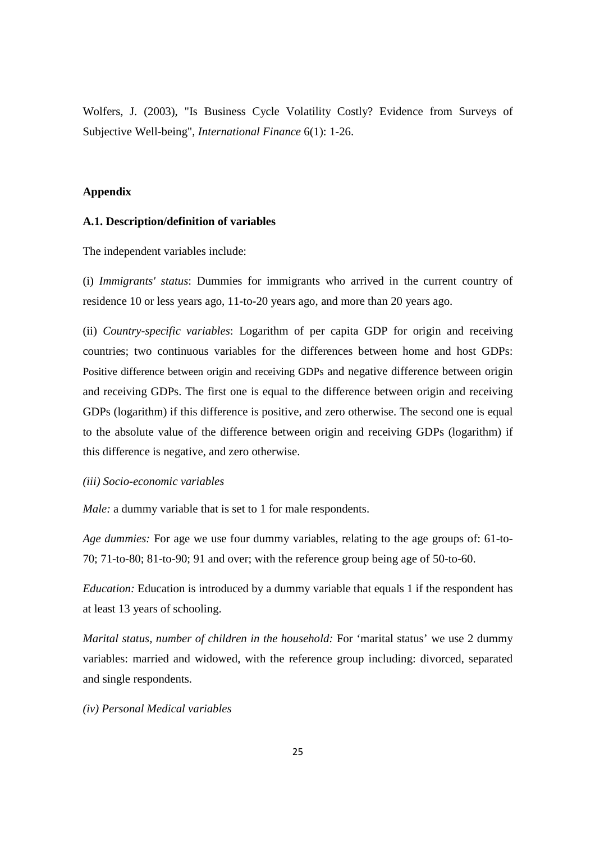Wolfers, J. (2003), "Is Business Cycle Volatility Costly? Evidence from Surveys of Subjective Well-being", *International Finance* 6(1): 1-26.

#### **Appendix**

#### **A.1. Description/definition of variables**

The independent variables include:

(i) *Immigrants' status*: Dummies for immigrants who arrived in the current country of residence 10 or less years ago, 11-to-20 years ago, and more than 20 years ago.

(ii) *Country-specific variables*: Logarithm of per capita GDP for origin and receiving countries; two continuous variables for the differences between home and host GDPs: Positive difference between origin and receiving GDPs and negative difference between origin and receiving GDPs. The first one is equal to the difference between origin and receiving GDPs (logarithm) if this difference is positive, and zero otherwise. The second one is equal to the absolute value of the difference between origin and receiving GDPs (logarithm) if this difference is negative, and zero otherwise.

#### *(iii) Socio-economic variables*

*Male:* a dummy variable that is set to 1 for male respondents.

*Age dummies:* For age we use four dummy variables, relating to the age groups of: 61-to-70; 71-to-80; 81-to-90; 91 and over; with the reference group being age of 50-to-60.

*Education:* Education is introduced by a dummy variable that equals 1 if the respondent has at least 13 years of schooling.

*Marital status, number of children in the household:* For 'marital status' we use 2 dummy variables: married and widowed, with the reference group including: divorced, separated and single respondents.

#### *(iv) Personal Medical variables*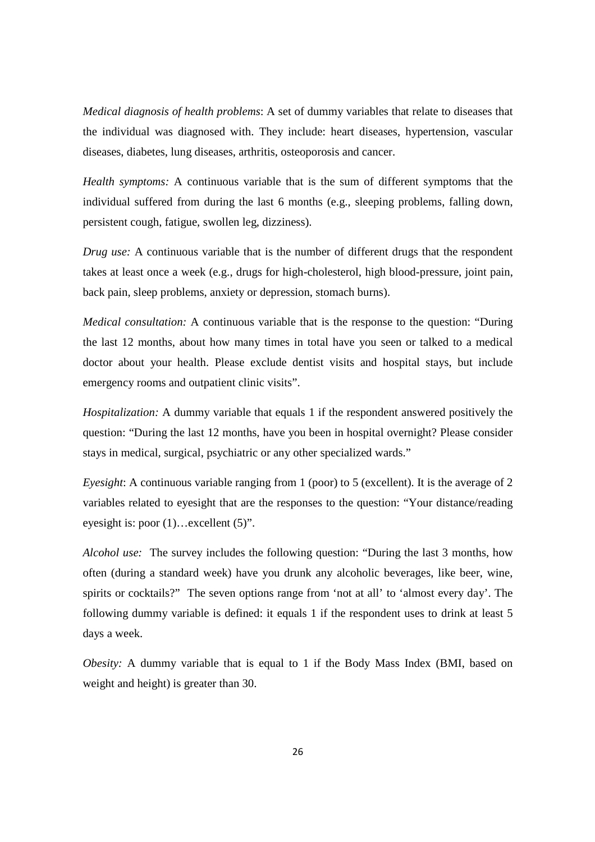*Medical diagnosis of health problems*: A set of dummy variables that relate to diseases that the individual was diagnosed with. They include: heart diseases, hypertension, vascular diseases, diabetes, lung diseases, arthritis, osteoporosis and cancer.

*Health symptoms:* A continuous variable that is the sum of different symptoms that the individual suffered from during the last 6 months (e.g., sleeping problems, falling down, persistent cough, fatigue, swollen leg, dizziness).

*Drug use:* A continuous variable that is the number of different drugs that the respondent takes at least once a week (e.g., drugs for high-cholesterol, high blood-pressure, joint pain, back pain, sleep problems, anxiety or depression, stomach burns).

*Medical consultation:* A continuous variable that is the response to the question: "During the last 12 months, about how many times in total have you seen or talked to a medical doctor about your health. Please exclude dentist visits and hospital stays, but include emergency rooms and outpatient clinic visits".

*Hospitalization:* A dummy variable that equals 1 if the respondent answered positively the question: "During the last 12 months, have you been in hospital overnight? Please consider stays in medical, surgical, psychiatric or any other specialized wards."

*Eyesight*: A continuous variable ranging from 1 (poor) to 5 (excellent). It is the average of 2 variables related to eyesight that are the responses to the question: "Your distance/reading eyesight is: poor (1)…excellent (5)".

*Alcohol use:* The survey includes the following question: "During the last 3 months, how often (during a standard week) have you drunk any alcoholic beverages, like beer, wine, spirits or cocktails?" The seven options range from 'not at all' to 'almost every day'. The following dummy variable is defined: it equals 1 if the respondent uses to drink at least 5 days a week.

*Obesity:* A dummy variable that is equal to 1 if the Body Mass Index (BMI, based on weight and height) is greater than 30.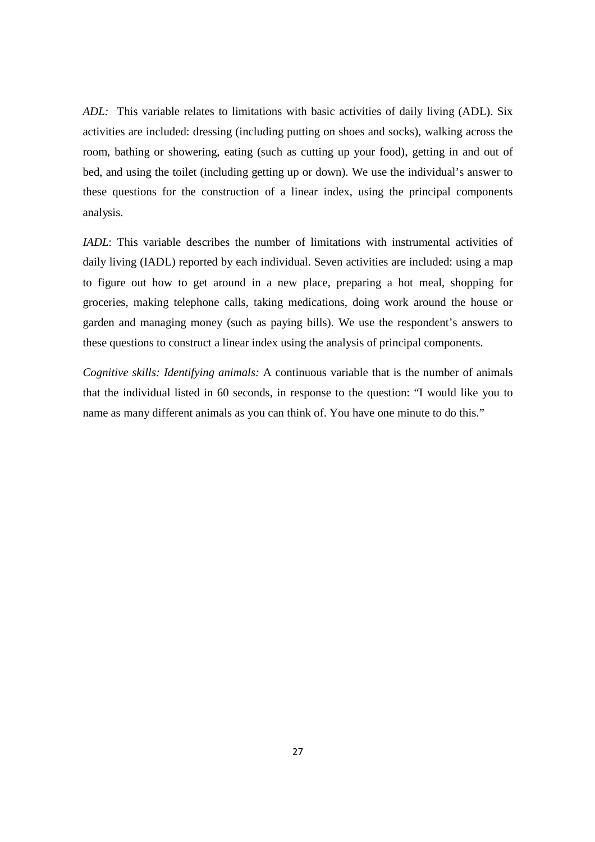*ADL:* This variable relates to limitations with basic activities of daily living (ADL). Six activities are included: dressing (including putting on shoes and socks), walking across the room, bathing or showering, eating (such as cutting up your food), getting in and out of bed, and using the toilet (including getting up or down). We use the individual's answer to these questions for the construction of a linear index, using the principal components analysis.

*IADL*: This variable describes the number of limitations with instrumental activities of daily living (IADL) reported by each individual. Seven activities are included: using a map to figure out how to get around in a new place, preparing a hot meal, shopping for groceries, making telephone calls, taking medications, doing work around the house or garden and managing money (such as paying bills). We use the respondent's answers to these questions to construct a linear index using the analysis of principal components.

*Cognitive skills: Identifying animals:* A continuous variable that is the number of animals that the individual listed in 60 seconds, in response to the question: "I would like you to name as many different animals as you can think of. You have one minute to do this."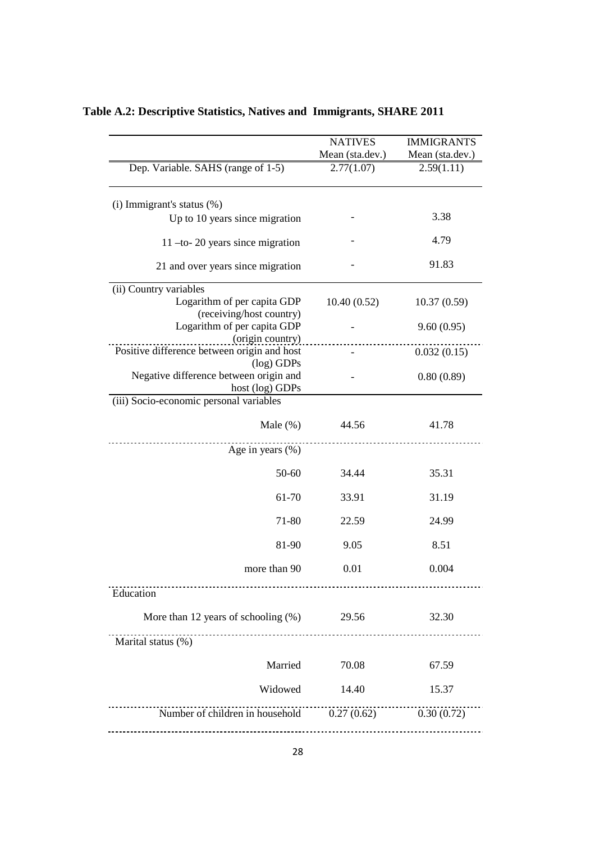|                                                             | <b>NATIVES</b>  | <b>IMMIGRANTS</b> |
|-------------------------------------------------------------|-----------------|-------------------|
|                                                             | Mean (sta.dev.) | Mean (sta.dev.)   |
| Dep. Variable. SAHS (range of 1-5)                          | 2.77(1.07)      | 2.59(1.11)        |
| (i) Immigrant's status (%)                                  |                 |                   |
| Up to 10 years since migration                              |                 | 3.38              |
| $11$ -to- 20 years since migration                          |                 | 4.79              |
| 21 and over years since migration                           |                 | 91.83             |
| (ii) Country variables                                      |                 |                   |
| Logarithm of per capita GDP<br>(receiving/host country)     | 10.40(0.52)     | 10.37(0.59)       |
| Logarithm of per capita GDP<br>(origin country)             |                 | 9.60(0.95)        |
| Positive difference between origin and host<br>$(log)$ GDPs |                 | 0.032(0.15)       |
| Negative difference between origin and<br>host (log) GDPs   |                 | 0.80(0.89)        |
| (iii) Socio-economic personal variables                     |                 |                   |
|                                                             |                 |                   |
| Male $(\%)$                                                 | 44.56           | 41.78             |
| Age in years $(\% )$                                        |                 |                   |
| 50-60                                                       | 34.44           | 35.31             |
| 61-70                                                       | 33.91           | 31.19             |
| 71-80                                                       | 22.59           | 24.99             |
| 81-90                                                       | 9.05            | 8.51              |
| more than 90                                                | 0.01            | 0.004             |
| Education                                                   |                 |                   |
| More than 12 years of schooling $(\%)$                      | 29.56           | 32.30             |
| Marital status (%)                                          | .               |                   |
| Married                                                     | 70.08           | 67.59             |
| Widowed                                                     | 14.40           | 15.37             |
| Number of children in household 0.27 (0.62) 0.30 (0.72)     |                 |                   |
|                                                             |                 |                   |

## **Table A.2: Descriptive Statistics, Natives and Immigrants, SHARE 2011**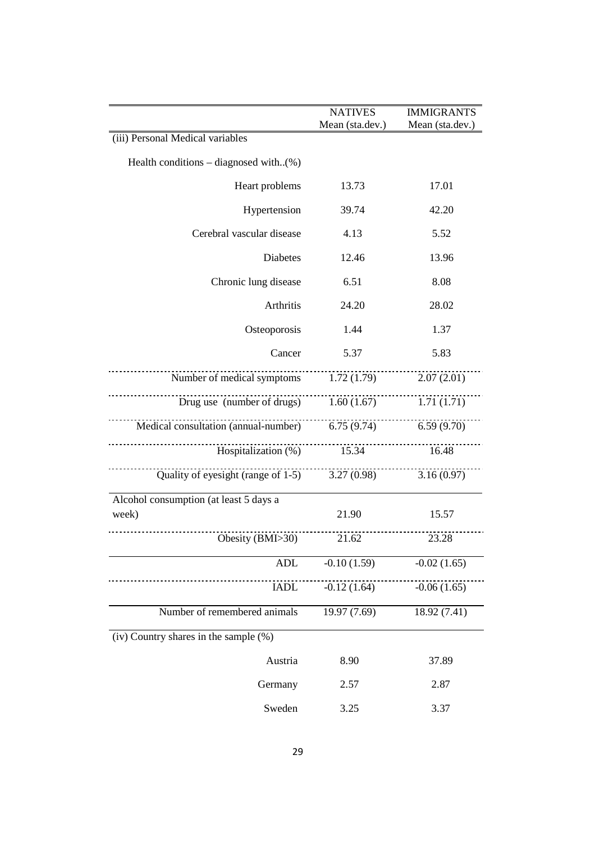|                                                   | <b>NATIVES</b><br>Mean (sta.dev.) | <b>IMMIGRANTS</b><br>Mean (sta.dev.) |
|---------------------------------------------------|-----------------------------------|--------------------------------------|
| (iii) Personal Medical variables                  |                                   |                                      |
| Health conditions – diagnosed with $(\%)$         |                                   |                                      |
| Heart problems                                    | 13.73                             | 17.01                                |
| Hypertension                                      | 39.74                             | 42.20                                |
| Cerebral vascular disease                         | 4.13                              | 5.52                                 |
| Diabetes                                          | 12.46                             | 13.96                                |
| Chronic lung disease                              | 6.51                              | 8.08                                 |
| Arthritis                                         | 24.20                             | 28.02                                |
| Osteoporosis                                      | 1.44                              | 1.37                                 |
| Cancer                                            | 5.37                              | 5.83                                 |
| Number of medical symptoms 1.72 (1.79)            |                                   | 2.07(2.01)                           |
| Drug use (number of drugs) $1.60(1.67)$           |                                   | 1.71(1.71)                           |
| Medical consultation (annual-number) 6.75 (9.74)  |                                   | 6.59(9.70)                           |
| Hospitalization $(\%)$ 15.34                      |                                   | 16.48                                |
| Quality of eyesight (range of $1-5$ ) 3.27 (0.98) |                                   | 3.16(0.97)                           |
| Alcohol consumption (at least 5 days a            |                                   |                                      |
| week)                                             | 21.90                             | 15.57                                |
| Obesity (BMI>30)                                  | 21.62                             | 23.28                                |
| ADL                                               | $-0.10(1.59)$                     | $-0.02(1.65)$                        |
| <b>IADL</b>                                       | $-0.12(1.64)$                     | $-0.06(1.65)$                        |
| Number of remembered animals                      | 19.97 (7.69)                      | 18.92 (7.41)                         |
| $(iv)$ Country shares in the sample $(\%)$        |                                   |                                      |
| Austria                                           | 8.90                              | 37.89                                |
| Germany                                           | 2.57                              | 2.87                                 |
| Sweden                                            | 3.25                              | 3.37                                 |